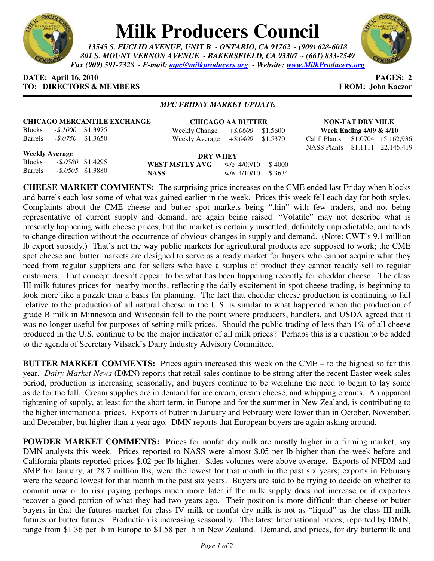

# **Milk Producers Council**

*13545 S. EUCLID AVENUE, UNIT B ~ ONTARIO, CA 91762 ~ (909) 628-6018 801 S. MOUNT VERNON AVENUE ~ BAKERSFIELD, CA 93307 ~ (661) 833-2549 Fax (909) 591-7328 ~ E-mail: mpc@milkproducers.org ~ Website: www.MilkProducers.org*



### **DATE: April 16, 2010 PAGES: 2 TO: DIRECTORS & MEMBERS FROM: John Kaczor**

### *MPC FRIDAY MARKET UPDATE*

| <b>CHICAGO MERCANTILE EXCHANGE</b> |                            |  |    |  |  |  |
|------------------------------------|----------------------------|--|----|--|--|--|
|                                    | Blocks - \$.1000 \$1.3975  |  | We |  |  |  |
|                                    | Barrels - \$.0750 \$1.3650 |  | We |  |  |  |

**CHICAGO AA BUTTER** Weekly Change *+\$.0600* \$1.5600 Weekly Average *+\$.0400* \$1.5370

**NON-FAT DRY MILK Week Ending 4/09 & 4/10**  Calif. Plants \$1.0704 15,162,936 NASS Plants \$1.1111 22,145,419

#### **Weekly Average**

|  | <b>WES</b>                                  |
|--|---------------------------------------------|
|  | NASS.                                       |
|  | $-$ \$.0580 \$1.4295<br>$-.8.0505$ \$1.3880 |

**DRY WHEY T MSTLY AVG** w/e 4/09/10 \$.4000 **NASS** w/e 4/10/10 \$.3634

**CHEESE MARKET COMMENTS:** The surprising price increases on the CME ended last Friday when blocks and barrels each lost some of what was gained earlier in the week. Prices this week fell each day for both styles. Complaints about the CME cheese and butter spot markets being "thin" with few traders, and not being representative of current supply and demand, are again being raised. "Volatile" may not describe what is presently happening with cheese prices, but the market is certainly unsettled, definitely unpredictable, and tends to change direction without the occurrence of obvious changes in supply and demand. (Note: CWT's 9.1 million lb export subsidy.) That's not the way public markets for agricultural products are supposed to work; the CME spot cheese and butter markets are designed to serve as a ready market for buyers who cannot acquire what they need from regular suppliers and for sellers who have a surplus of product they cannot readily sell to regular customers. That concept doesn't appear to be what has been happening recently for cheddar cheese. The class III milk futures prices for nearby months, reflecting the daily excitement in spot cheese trading, is beginning to look more like a puzzle than a basis for planning. The fact that cheddar cheese production is continuing to fall relative to the production of all natural cheese in the U.S. is similar to what happened when the production of grade B milk in Minnesota and Wisconsin fell to the point where producers, handlers, and USDA agreed that it was no longer useful for purposes of setting milk prices. Should the public trading of less than 1% of all cheese produced in the U.S. continue to be the major indicator of all milk prices? Perhaps this is a question to be added to the agenda of Secretary Vilsack's Dairy Industry Advisory Committee.

**BUTTER MARKET COMMENTS:** Prices again increased this week on the CME – to the highest so far this year. *Dairy Market News* (DMN) reports that retail sales continue to be strong after the recent Easter week sales period, production is increasing seasonally, and buyers continue to be weighing the need to begin to lay some aside for the fall. Cream supplies are in demand for ice cream, cream cheese, and whipping creams. An apparent tightening of supply, at least for the short term, in Europe and for the summer in New Zealand, is contributing to the higher international prices. Exports of butter in January and February were lower than in October, November, and December, but higher than a year ago. DMN reports that European buyers are again asking around.

**POWDER MARKET COMMENTS:** Prices for nonfat dry milk are mostly higher in a firming market, say DMN analysts this week. Prices reported to NASS were almost \$.05 per lb higher than the week before and California plants reported prices \$.02 per lb higher. Sales volumes were above average. Exports of NFDM and SMP for January, at 28.7 million lbs, were the lowest for that month in the past six years; exports in February were the second lowest for that month in the past six years. Buyers are said to be trying to decide on whether to commit now or to risk paying perhaps much more later if the milk supply does not increase or if exporters recover a good portion of what they had two years ago. Their position is more difficult than cheese or butter buyers in that the futures market for class IV milk or nonfat dry milk is not as "liquid" as the class III milk futures or butter futures. Production is increasing seasonally. The latest International prices, reported by DMN, range from \$1.36 per lb in Europe to \$1.58 per lb in New Zealand. Demand, and prices, for dry buttermilk and